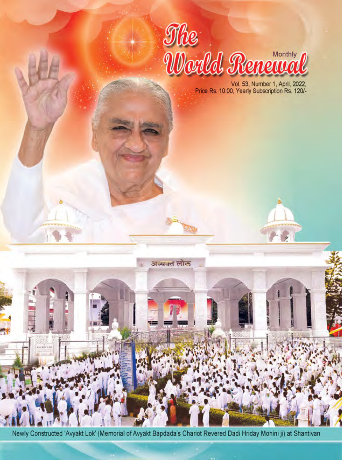

Vol. 53, Number 1, April, 2022,<br>Price Rs. 10.00, Yearly Subscription Rs. 120/-

Newly Constructed 'Avyakt Lok' (Memorial of Avyakt Bapdada's Chariot Revered Dadi Hriday Mohini ji) at Shantivan

ı.

**ATIO** 

अव्यक्त लोक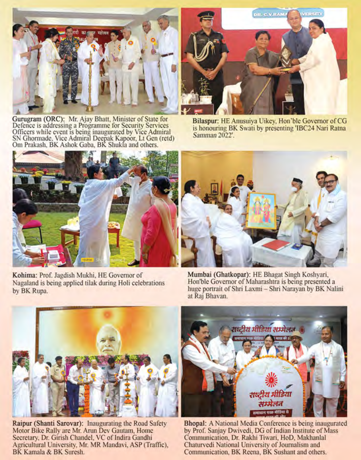

Gurugram (ORC): Mr. Ajay Bhatt, Minister of State for<br>Defence is addressing a Programme for Security Services<br>Officers while event is being inaugurated by Vice Admiral<br>SN Ghormade, Vice Admiral Deepak Kapoor, Lt Gen (retd) Om Prakash, BK Ashok Gaba, BK Shukla and others.



Bilaspur: HE Anusuiya Uikey, Hon'ble Governor of CG is honouring BK Swati by presenting 'IBC24 Nari Ratna Samman 2022'.



Kohima: Prof. Jagdish Mukhi, HE Governor of Nagaland is being applied tilak during Holi celebrations by BK Rupa.



Mumbai (Ghatkopar): HE Bhagat Singh Koshyari, Hon'ble Governor of Maharashtra is being presented a huge portrait of Shri Laxmi - Shri Narayan by BK Nalini at Raj Bhavan.



Raipur (Shanti Sarovar): Inaugurating the Road Safety Motor Bike Rally are Mr. Arun Dev Gautam, Home Secretary, Dr. Girish Chandel, VC of Indira Gandhi Agricultural University, Mr. MR Mandavi, ASP (Traffic), BK Kamala & BK Suresh.



Bhopal: A National Media Conference is being inaugurated by Prof. Sanjay Dwivedi, DG of Indian Institute of Mass Communication, Dr. Rakhi Tiwari, HoD, Makhanlal Chaturvedi National University of Journalism and Communication, BK Reena, BK Sushant and others.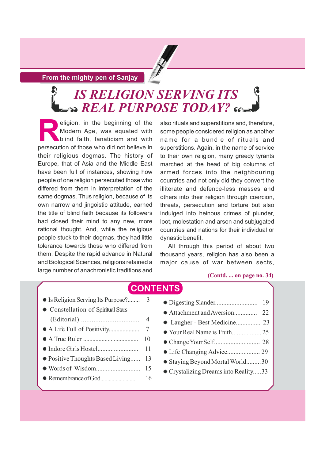### **From the mighty pen of Sanjay**

# *IS RELIGION SERVING ITS REAL PURPOSE TODAY?*

eligion, in the beginning of the<br>Modern Age, was equated with<br>persecution of those who did not believe in Modern Age, was equated with blind faith, fanaticism and with persecution of those who did not believe in their religious dogmas. The history of Europe, that of Asia and the Middle East have been full of instances, showing how people of one religion persecuted those who differed from them in interpretation of the same dogmas. Thus religion, because of its own narrow and jingoistic attitude, earned the title of blind faith because its followers had closed their mind to any new, more rational thought. And, while the religious people stuck to their dogmas, they had little tolerance towards those who differed from them. Despite the rapid advance in Natural and Biological Sciences, religions retained a large number of anachronistic traditions and

also rituals and superstitions and, therefore, some people considered religion as another name for a bundle of rituals and superstitions. Again, in the name of service to their own religion, many greedy tyrants marched at the head of big columns of armed forces into the neighbouring countries and not only did they convert the illiterate and defence-less masses and others into their religion through coercion, threats, persecution and torture but also indulged into heinous crimes of plunder, loot, molestation and arson and subjugated countries and nations for their individual or dynastic benefit.

All through this period of about two thousand years, religion has also been a major cause of war between sects,

### **(Contd. ... on page no. 34)**

#### **CONTENTS** - Is Religion Serving Its Purpose?........ 3 - Constellation of Spiritual Stars (Editorial) ................................. 4 - A Life Full of Positivity.................... 7 - A True Ruler .................................... 10 - Indore Girls Hostel......................... 11 - Positive Thoughts Based Living...... 13 - Words of Wisdom........................... 15  $\ddot{\phantom{a}}$  $\ddot{\phantom{a}}$  $\ddot{\phantom{a}}$  $\ddot{\phantom{a}}$  $\ddot{\phantom{a}}$  $\ddot{\phantom{a}}$  $\ddot{\phantom{a}}$

- RemembranceofGod.......................... 16

| 19                                 |
|------------------------------------|
|                                    |
|                                    |
|                                    |
|                                    |
|                                    |
| * Staying Beyond Mortal World30    |
| Crystalizing Dreams into Reality33 |
|                                    |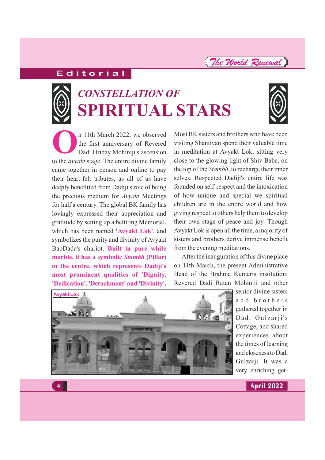# **E d i t o r i a l**



# **CONSTELLATION OF SPIRITUAL STARS**



**O**n 11th March 2022, we observed<br>the first anniversary of Revered<br>Dadi Hriday Mohiniji's ascension the first anniversary of Revered Dadi Hriday Mohiniji's ascension to the *avyakt* stage. The entire divine family came together in person and online to pay their heart-felt tributes, as all of us have deeply benefitted from Dadiji's role of being the precious medium for **Avyakt** Meetings for half a century. The global BK family has lovingly expressed their appreciation and gratitude by setting up a befitting Memorial, which has been named '**Avyakt Lok**', and symbolizes the purity and divinity of Avyakt BapDada's chariot. **Built in pure white marble, it has a symbolic Stambh (Pillar) in the centre, which represents Dadiji's most prominent qualities of 'Dignity, 'Dedication', 'Detachment' and 'Divinity'.**

Most BK sisters and brothers who have been visiting Shantivan spend their valuable time in meditation at Avyakt Lok, sitting very close to the glowing light of Shiv Baba, on the top of the *Stambh*, to recharge their inner selves. Respected Dadiji's entire life was founded on self-respect and the intoxication of how unique and special we spiritual children are in the entire world and how giving respect to others help them to develop their own stage of peace and joy. Though Avyakt Lok is open all the time, a majority of sisters and brothers derive immense benefit from the evening meditations.

After the inauguration of this divine place on 11th March, the present Administrative Head of the Brahma Kumaris institution: Revered Dadi Ratan Mohiniji and other



senior divine sisters and brothers gathered together in Dadi Gulzarji's Cottage, and shared experiences about the times of learning andclosenesstoDadi Gulzarji. It was a very enriching get-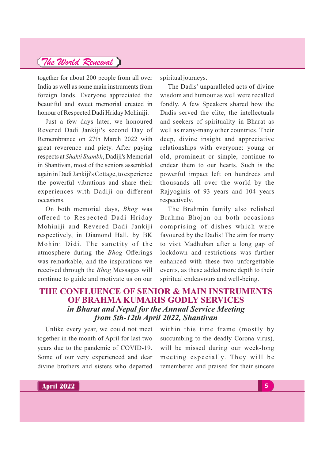together for about 200 people from all over India as well as some main instruments from foreign lands. Everyone appreciated the beautiful and sweet memorial created in honour of Respected Dadi Hriday Mohiniji.

Just a few days later, we honoured Revered Dadi Jankiji's second Day of Remembrance on 27th March 2022 with great reverence and piety. After paying respects at *Shakti Stambh*, Dadiji's Memorial in Shantivan, most of the seniors assembled again in Dadi Jankiji's Cottage, to experience the powerful vibrations and share their experiences with Dadiji on different occasions.

On both memorial days, *Bhog* was offered to Respected Dadi Hriday Mohiniji and Revered Dadi Jankiji respectively, in Diamond Hall, by BK Mohini Didi. The sanctity of the atmosphere during the Offerings *Bhog* was remarkable, and the inspirations we received through the *Bhog* Messages will continue to guide and motivate us on our

spiritual journeys.

The Dadis' unparalleled acts of divine wisdom and humour as well were recalled fondly. A few Speakers shared how the Dadis served the elite, the intellectuals and seekers of spirituality in Bharat as well as many-many other countries. Their deep, divine insight and appreciative relationships with everyone: young or old, prominent or simple, continue to endear them to our hearts. Such is the powerful impact left on hundreds and thousands all over the world by the Rajyoginis of 93 years and 104 years respectively.

The Brahmin family also relished Brahma Bhojan on both occasions comprising of dishes which were favoured by the Dadis! The aim for many to visit Madhuban after a long gap of lockdown and restrictions was further enhanced with these two unforgettable events, as these added more depth to their spiritual endeavours and well-being.

### **THE CONFLUENCE OF SENIOR & MAIN INSTRUMENTS OF BRAHMA KUMARIS GODLY SERVICES** *in Bharat and Nepal for the Annual Service Meeting from 5th-12th April 2022, Shantivan*

Unlike every year, we could not meet together in the month of April for last two years due to the pandemic of COVID-19. Some of our very experienced and dear divine brothers and sisters who departed

within this time frame (mostly by succumbing to the deadly Corona virus), will be missed during our week-long meeting especially. They will be remembered and praised for their sincere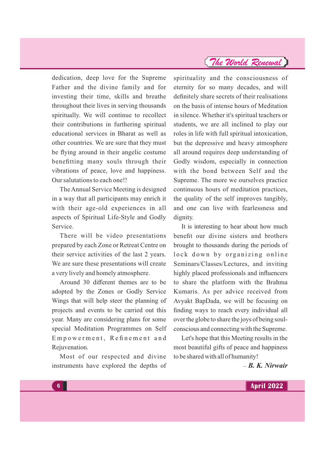dedication, deep love for the Supreme Father and the divine family and for investing their time, skills and breathe throughout their lives in serving thousands spiritually. We will continue to recollect their contributions in furthering spiritual educational services in Bharat as well as other countries. We are sure that they must be flying around in their angelic costume benefitting many souls through their vibrations of peace, love and happiness. Our salutations to each one!!

TheAnnual Service Meeting is designed in a way that all participants may enrich it with their age-old experiences in all aspects of Spiritual Life-Style and Godly Service.

There will be video presentations prepared by each Zone or Retreat Centre on their service activities of the last 2 years. We are sure these presentations will create a very lively and homely atmosphere.

Around 30 different themes are to be adopted by the Zones or Godly Service Wings that will help steer the planning of projects and events to be carried out this year. Many are considering plans for some special Meditation Programmes on Self Empowerment, Refinement and Rejuvenation.

Most of our respected and divine instruments have explored the depths of spirituality and the consciousness of eternity for so many decades, and will definitely share secrets of their realisations on the basis of intense hours of Meditation in silence. Whether it's spiritual teachers or students, we are all inclined to play our roles in life with full spiritual intoxication, but the depressive and heavy atmosphere all around requires deep understanding of Godly wisdom, especially in connection with the bond between Self and the Supreme. The more we ourselves practice continuous hours of meditation practices, the quality of the self improves tangibly, and one can live with fearlessness and dignity.

It is interesting to hear about how much benefit our divine sisters and brothers brought to thousands during the periods of lock down by organizing online Seminars/Classes/Lectures, and inviting highly placed professionals and influencers to share the platform with the Brahma Kumaris. As per advice received from Avyakt BapDada, we will be focusing on finding ways to reach every individual all over the globe to share the joys of being soulconscious and connecting with the Supreme.

Let's hope that this Meeting results in the most beautiful gifts of peace and happiness to be shared with all of humanity!

*– B. K. Nirwair*

**6**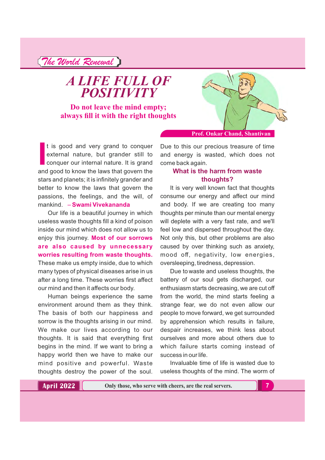*The World Renewal*

*A LIFE FULL OF POSITIVITY*

**Do not leave the mind empty; always fill it with the right thoughts**



**Prof. Onkar Chand, Shantivan**

It is good and very grand to conquer external nature, but grander still to conquer our internal nature. It is grand and good to know the laws that govern the t is good and very grand to conquer external nature, but grander still to conquer our internal nature. It is grand stars and planets; it is infinitely grander and better to know the laws that govern the passions, the feelings, and the will, of mankind. – **Swami Vivekananda**

Our life is a beautiful journey in which useless waste thoughts fill a kind of poison inside our mind which does not allow us to enjoy this journey. **Most of our sorrows are also caused by unnecessary worries resulting from waste thoughts.** These make us empty inside, due to which many types of physical diseases arise in us after a long time. These worries first affect our mind and then it affects our body.

Human beings experience the same environment around them as they think. The basis of both our happiness and sorrow is the thoughts arising in our mind. We make our lives according to our thoughts. It is said that everything first begins in the mind. If we want to bring a happy world then we have to make our mind positive and powerful. Waste thoughts destroy the power of the soul. Due to this our precious treasure of time and energy is wasted, which does not

### come back again. **What is the harm from waste thoughts?**

It is very well known fact that thoughts consume our energy and affect our mind and body. If we are creating too many thoughts per minute than our mental energy will deplete with a very fast rate, and we'll feel low and dispersed throughout the day. Not only this, but other problems are also caused by over thinking such as anxiety, mood off, negativity, low energies, oversleeping, tiredness, depression.

Due to waste and useless thoughts, the battery of our soul gets discharged, our enthusiasm starts decreasing, we are cut off from the world, the mind starts feeling a strange fear, we do not even allow our people to move forward, we get surrounded by apprehension which results in failure, despair increases, we think less about ourselves and more about others due to which failure starts coming instead of success in our life.

Invaluable time of life is wasted due to useless thoughts of the mind. The worm of

**Only those, who serve with cheers, are the real servers. 7**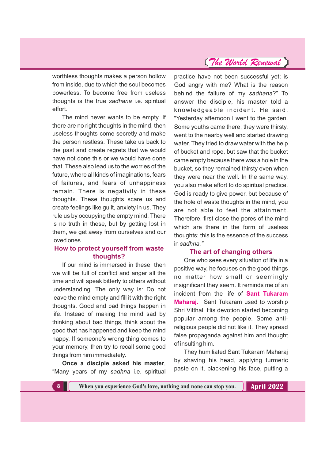worthless thoughts makes a person hollow from inside, due to which the soul becomes powerless. To become free from useless thoughts is the true sadhana *i.e.* spiritual effort.

The mind never wants to be empty. If there are no right thoughts in the mind, then useless thoughts come secretly and make the person restless. These take us back to the past and create regrets that we would have not done this or we would have done that. These also lead us to the worries of the future, where all kinds of imaginations, fears of failures, and fears of unhappiness remain. There is negativity in these thoughts. These thoughts scare us and create feelings like guilt, anxiety in us. They rule us by occupying the empty mind. There is no truth in these, but by getting lost in them, we get away from ourselves and our loved ones.

### **How to protect yourself from waste thoughts?**

If our mind is immersed in these, then we will be full of conflict and anger all the time and will speak bitterly to others without understanding. The only way is: Do not leave the mind empty and fill it with the right thoughts. Good and bad things happen in life. Instead of making the mind sad by thinking about bad things, think about the good that has happened and keep the mind happy. If someone's wrong thing comes to your memory, then try to recall some good things from him immediately.

**Once a disciple asked his master**, "Many years of my sadhna i.e. spiritual

practice have not been successful yet; is God angry with me? What is the reason behind the failure of my sadhana?" To answer the disciple, his master told a knowledgeable incident. He said, "Yesterday afternoon I went to the garden. Some youths came there; they were thirsty, went to the nearby well and started drawing water. They tried to draw water with the help of bucket and rope, but saw that the bucket came empty because there was a hole in the bucket, so they remained thirsty even when they were near the well. In the same way, you also make effort to do spiritual practice. God is ready to give power, but because of the hole of waste thoughts in the mind, you are not able to feel the attainment. Therefore, first close the pores of the mind which are there in the form of useless thoughts; this is the essence of the success in *sadhna."*

### **The art of changing others**

One who sees every situation of life in a positive way, he focuses on the good things no matter how small or seemingly insignificant they seem. It reminds me of an incident from the life of **Sant Tukaram Maharaj.** Sant Tukaram used to worship Shri Vitthal. His devotion started becoming popular among the people. Some antireligious people did not like it. They spread false propaganda against him and thought of insulting him.

They humiliated Sant Tukaram Maharaj by shaving his head, applying turmeric paste on it, blackening his face, putting a

**8 When you experience God's love, nothing and none can stop you.**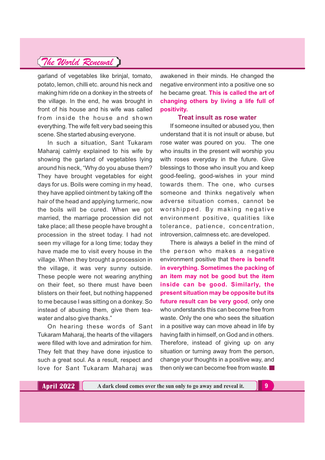garland of vegetables like brinjal, tomato, potato, lemon, chilli etc. around his neck and making him ride on a donkey in the streets of the village. In the end, he was brought in front of his house and his wife was called from inside the house and shown everything. The wife felt very bad seeing this scene. She started abusing everyone.

In such a situation, Sant Tukaram Maharaj calmly explained to his wife by showing the garland of vegetables lying around his neck, "Why do you abuse them? They have brought vegetables for eight days for us. Boils were coming in my head, they have applied ointment by taking off the hair of the head and applying turmeric, now the boils will be cured. When we got married, the marriage procession did not take place; all these people have brought a procession in the street today. I had not seen my village for a long time; today they have made me to visit every house in the village. When they brought a procession in the village, it was very sunny outside. These people were not wearing anything on their feet, so there must have been blisters on their feet, but nothing happened to me because I was sitting on a donkey. So instead of abusing them, give them teawater and also give thanks."

On hearing these words of Sant Tukaram Maharaj, the hearts of the villagers were filled with love and admiration for him. They felt that they have done injustice to such a great soul. As a result, respect and love for Sant Tukaram Maharaj was

awakened in their minds. He changed the negative environment into a positive one so he became great. **This is called the art of changing others by living a life full of positivity.**

#### **Treat insult as rose water**

If someone insulted or abused you, then understand that it is not insult or abuse, but rose water was poured on you. The one who insults in the present will worship you with roses everyday in the future. Give blessings to those who insult you and keep good-feeling, good-wishes in your mind towards them. The one, who curses someone and thinks negatively when adverse situation comes, cannot be worshipped. By making negative environment positive, qualities like tolerance, patience, concentration, introversion, calmness etc. are developed.

There is always a belief in the mind of the person who makes a negative environment positive that **there is benefit in everything. Sometimes the packing of an item may not be good but the item inside can be good. Similarly, the present situation may be opposite but its future result can be very good**, only one who understands this can become free from waste. Only the one who sees the situation in a positive way can move ahead in life by having faith in himself, on God and in others. Therefore, instead of giving up on any situation or turning away from the person, change your thoughts in a positive way, and then only we can become free from waste.

**A dark cloud comes over the sun only to go away and reveal it. 9**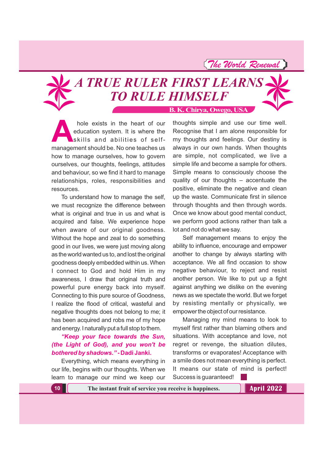# **B. K. Chirya, Owego, USA** *A TRUE RULER FIRST LEARNS TO RULE HIMSELF*

hole exists in the heart of our<br>education system. It is where the<br>skills and abilities of self-<br>management should be No one teaches us education system. It is where the skills and abilities of selfmanagement should be. No one teaches us how to manage ourselves, how to govern ourselves, our thoughts, feelings, attitudes and behaviour, so we find it hard to manage relationships, roles, responsibilities and resources.

To understand how to manage the self, we must recognize the difference between what is original and true in us and what is acquired and false. We experience hope when aware of our original goodness. Without the hope and zeal to do something good in our lives, we were just moving along as the world wanted us to, and lost the original goodness deeply embedded within us. When I connect to God and hold Him in my awareness, I draw that original truth and powerful pure energy back into myself. Connecting to this pure source of Goodness, I realize the flood of critical, wasteful and negative thoughts does not belong to me; it has been acquired and robs me of my hope and energy. I naturally put a full stop to them.

### *"Keep your face towards the Sun, (the Light of God), and you won't be bothered by shadows."* **- Dadi Janki.**

Everything, which means everything in our life, begins with our thoughts. When we learn to manage our mind we keep our

thoughts simple and use our time well. Recognise that I am alone responsible for my thoughts and feelings. Our destiny is always in our own hands. When thoughts are simple, not complicated, we live a simple life and become a sample for others. Simple means to consciously choose the quality of our thoughts – accentuate the positive, eliminate the negative and clean up the waste. Communicate first in silence through thoughts and then through words. Once we know about good mental conduct, we perform good actions rather than talk a lot and not do what we say.

Self management means to enjoy the ability to influence, encourage and empower another to change by always starting with acceptance. We all find occasion to show negative behaviour, to reject and resist another person. We like to put up a fight against anything we dislike on the evening news as we spectate the world. But we forget by resisting mentally or physically, we empower the object of our resistance.

Managing my mind means to look to myself first rather than blaming others and situations. With acceptance and love, not regret or revenge, the situation dilutes, transforms or evaporates! Acceptance with a smile does not mean everything is perfect. It means our state of mind is perfect! Success is guaranteed!

**10 The instant fruit of service you receive is happiness.**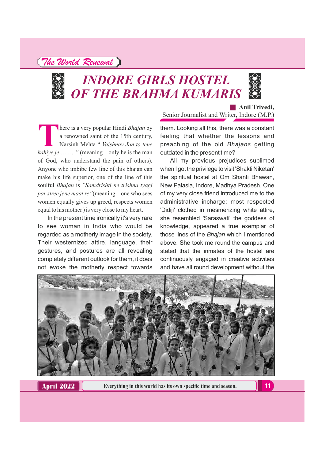

# *INDORE GIRLS HOSTEL OF THE BRAHMA KUMARIS*



**Anil Trivedi,**

Senior Journalist and Writer, Indore (M.P.)

**There is a very popular Hindi** *Bhajan* **by**<br> **A** a renowned saint of the 15th century,<br> *Rarsinh Mehta* " *Vaishnav Jan to tene*<br> *kahiye je*……… " (meaning – only he is the man a renowned saint of the 15th century, Narsinh Mehta " *Vaishnav Jan to tene* of God, who understand the pain of others). Anyone who imbibe few line of this bhajan can make his life superior, one of the line of this soulful *Bhajan* is *"Samdrishti ne trishna tyagi par stree jene maat re"*(meaning – one who sees women equally gives up greed, respects women equal to his mother ) is very close to my heart.

In the present time ironically it's very rare to see woman in India who would be regarded as a motherly image in the society. Their westernized attire, language, their gestures, and postures are all revealing completely different outlook for them, it does not evoke the motherly respect towards

them. Looking all this, there was a constant feeling that whether the lessons and preaching of the old *Bhajans* getting outdated in the present time?

All my previous prejudices sublimed when I got the privilege to visit 'Shakti Niketan' the spiritual hostel at Om Shanti Bhawan, New Palasia, Indore, Madhya Pradesh. One of my very close friend introduced me to the administrative incharge; most respected 'Didiji' clothed in mesmerizing white attire, she resembled 'Saraswati' the goddess of knowledge, appeared a true exemplar of those lines of the *Bhajan* which I mentioned above. She took me round the campus and stated that the inmates of the hostel are continuously engaged in creative activities and have all round development without the



**April 2022**

**Everything in this world has its own specific time and season.** 11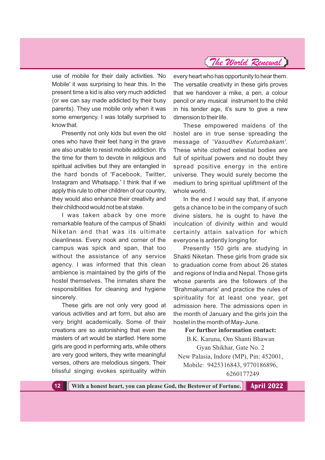use of mobile for their daily activities. 'No Mobile' it was surprising to hear this. In the present time a kid is also very much addicted (or we can say made addicted by their busy parents). They use mobile only when it was some emergency. I was totally surprised to know that.

Presently not only kids but even the old ones who have their feet hang in the grave are also unable to resist mobile addiction. It's the time for them to devote in religious and spiritual activities but they are entangled in the hard bonds of 'Facebook, Twitter, Instagram and Whatsapp.' I think that if we apply this rule to other children of our country, they would also enhance their creativity and their childhood would not be at stake.

I was taken aback by one more remarkable feature of the campus of Shakti Niketan and that was its ultimate cleanliness. Every nook and corner of the campus was spick and span, that too without the assistance of any service agency. I was informed that this clean ambience is maintained by the girls of the hostel themselves. The inmates share the responsibilities for cleaning and hygiene sincerely.

These girls are not only very good at various activities and art form, but also are very bright academically. Some of their creations are so astonishing that even the masters of art would be startled. Here some girls are good in performing arts, while others are very good writers, they write meaningful verses, others are melodious singers. Their blissful singing evokes spirituality within every heart who has opportunity to hear them. The versatile creativity in these girls proves that we handover a mike, a pen, a colour pencil or any musical instrument to the child in his tender age, it's sure to give a new dimension to their life.

These empowered maidens of the hostel are in true sense spreading the message of 'Vasudhev Kutumbakam'. These white clothed celestial bodies are full of spiritual powers and no doubt they spread positive energy in the entire universe. They would surely become the medium to bring spiritual upliftment of the whole world.

In the end I would say that, if anyone gets a chance to be in the company of such divine sisters, he is ought to have the inculcation of divinity within and would certainly attain salvation for which everyone is ardently longing for.

Presently 150 girls are studying in Shakti Niketan. These girls from grade six to graduation come from about 26 states and regions of India and Nepal. Those girls whose parents are the followers of the 'Brahmakumaris' and practice the rules of spirituality for at least one year, get admission here. The admissions open in the month of January and the girls join the hostel in the month of May-June.

### **For further information contact:**

B.K. Karuna, Om Shanti Bhawan Gyan Shikhar, Gate No. 2. New Palasia, Indore (MP), Pin: 452001, Mobile: 9425316843, 9770186896, 6260177249

**12 With a honest heart, you can please God, the Bestower of Fortune. April 2022**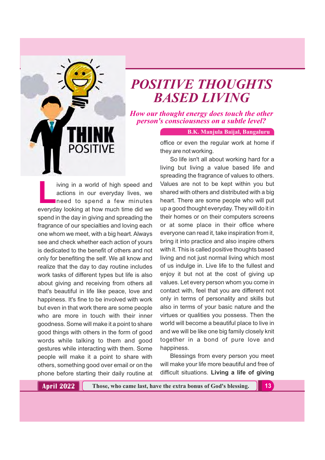

# *POSITIVE THOUGHTS BASED LIVING*

*How our thought energy does touch the other person's consciousness on a subtle level?*

**B.K. Manjula Baijal, Bangaluru**

office or even the regular work at home if they are not working.

iving in a world of high speed and<br>actions in our everyday lives, we<br>need to spend a few minutes actions in our everyday lives, we need to spend a few minutes everyday looking at how much time did we spend in the day in giving and spreading the fragrance of our specialties and loving each one whom we meet, with a big heart. Always see and check whether each action of yours is dedicated to the benefit of others and not only for benefiting the self. We all know and realize that the day to day routine includes work tasks of different types but life is also about giving and receiving from others all that's beautiful in life like peace, love and happiness. It's fine to be involved with work but even in that work there are some people who are more in touch with their inner goodness. Some will make it a point to share good things with others in the form of good words while talking to them and good gestures while interacting with them. Some people will make it a point to share with others, something good over email or on the phone before starting their daily routine at

So life isn't all about working hard for a living but living a value based life and spreading the fragrance of values to others. Values are not to be kept within you but shared with others and distributed with a big heart. There are some people who will put up a good thought everyday. They will do it in their homes or on their computers screens or at some place in their office where everyone can read it, take inspiration from it, bring it into practice and also inspire others with it. This is called positive thoughts based living and not just normal living which most of us indulge in. Live life to the fullest and enjoy it but not at the cost of giving up values. Let every person whom you come in contact with, feel that you are different not only in terms of personality and skills but also in terms of your basic nature and the virtues or qualities you possess. Then the world will become a beautiful place to live in and we will be like one big family closely knit together in a bond of pure love and happiness.

Blessings from every person you meet will make your life more beautiful and free of difficult situations. **Living a life of giving**

**April 2022 Those, who came last, have the extra bonus of God's blessing. 13**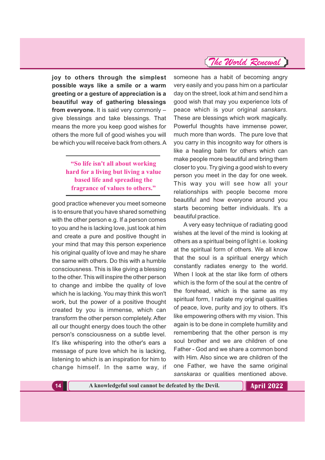**joy to others through the simplest possible ways like a smile or a warm greeting or a gesture of appreciation is a beautiful way of gathering blessings from everyone.** It is said very commonly – give blessings and take blessings. That means the more you keep good wishes for others the more full of good wishes you will be which you will receive back from others.A

### **"So life isn't all about working hard for a living but living a value based life and spreading the fragrance of values to others."**

good practice whenever you meet someone is to ensure that you have shared something with the other person e.g. If a person comes to you and he is lacking love, just look at him and create a pure and positive thought in your mind that may this person experience his original quality of love and may he share the same with others. Do this with a humble consciousness. This is like giving a blessing to the other. This will inspire the other person to change and imbibe the quality of love which he is lacking. You may think this won't work, but the power of a positive thought created by you is immense, which can transform the other person completely. After all our thought energy does touch the other person's consciousness on a subtle level. It's like whispering into the other's ears a message of pure love which he is lacking, listening to which is an inspiration for him to change himself. In the same way, if

### someone has a habit of becoming angry very easily and you pass him on a particular day on the street, look at him and send him a good wish that may you experience lots of peace which is your original *sanskars.* These are blessings which work magically. Powerful thoughts have immense power, much more than words. The pure love that you carry in this incognito way for others is like a healing balm for others which can make people more beautiful and bring them closer to you. Try giving a good wish to every person you meet in the day for one week. This way you will see how all your relationships with people become more beautiful and how everyone around you starts becoming better individuals. It's a

beautiful practice.

*The World Renewal*

A very easy technique of radiating good wishes at the level of the mind is looking at others as a spiritual being of light i.e. looking at the spiritual form of others. We all know that the soul is a spiritual energy which constantly radiates energy to the world. When I look at the star like form of others which is the form of the soul at the centre of the forehead, which is the same as my spiritual form, I radiate my original qualities of peace, love, purity and joy to others. It's like empowering others with my vision. This again is to be done in complete humility and remembering that the other person is my soul brother and we are children of one Father - God and we share a common bond with Him. Also since we are children of the one Father, we have the same original *sanskaras* or qualities mentioned above.

**14 A knowledgeful soul cannot be defeated by the Devil.**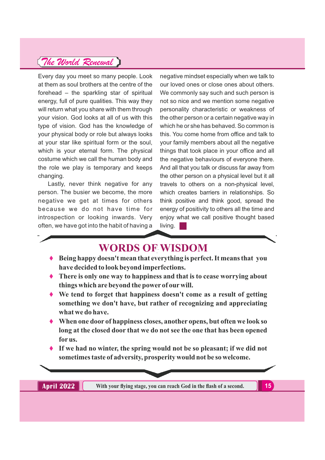Every day you meet so many people. Look at them as soul brothers at the centre of the forehead – the sparkling star of spiritual energy, full of pure qualities. This way they will return what you share with them through your vision. God looks at all of us with this type of vision. God has the knowledge of your physical body or role but always looks at your star like spiritual form or the soul, which is your eternal form. The physical costume which we call the human body and the role we play is temporary and keeps changing.

Lastly, never think negative for any person. The busier we become, the more negative we get at times for others because we do not have time for introspection or looking inwards. Very often, we have got into the habit of having a

negative mindset especially when we talk to our loved ones or close ones about others. We commonly say such and such person is not so nice and we mention some negative personality characteristic or weakness of the other person or a certain negative way in which he or she has behaved. So common is this. You come home from office and talk to your family members about all the negative things that took place in your office and all the negative behaviours of everyone there. And all that you talk or discuss far away from the other person on a physical level but it all travels to others on a non-physical level, which creates barriers in relationships. So think positive and think good, spread the energy of positivity to others all the time and enjoy what we call positive thought based living.

# **WORDS OF WISDOM**

- **Being happy doesn't mean that everything is perfect. It means that you have decided to look beyond imperfections.**
- **There is only one way to happiness and that is to cease worrying about things which are beyond the power of our will.**
- **We tend to forget that happiness doesn't come as a result of getting something we don't have, but rather of recognizing and appreciating what we do have.**
- **When one door of happiness closes, another opens, but often we look so long at the closed door that we do not see the one that has been opened for us.**
- **If we had no winter, the spring would not be so pleasant; if we did not sometimes taste of adversity, prosperity would not be so welcome.**

**April 2022 With your flying stage, you can reach God in the flash of a second.** 15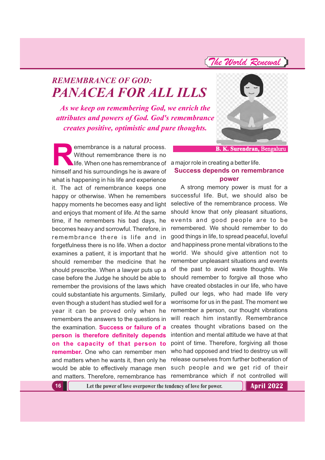# *REMEMBRANCE OF GOD: PANACEA FOR ALL ILLS*

*As we keep on remembering God, we enrich the attributes and powers of God. God's remembrance creates positive, optimistic and pure thoughts.*

**Remembrance is a natural process.**<br>Without remembrance there is no<br>himself and his surroundings he is aware of Without remembrance there is no life. When one has remembrance of a major role in creating a better life. himself and his surroundings he is aware of what is happening in his life and experience it. The act of remembrance keeps one happy or otherwise. When he remembers happy moments he becomes easy and light and enjoys that moment of life. At the same time, if he remembers his bad days, he becomes heavy and sorrowful. Therefore, in remembrance there is life and in forgetfulness there is no life. When a doctor examines a patient, it is important that he should remember the medicine that he should prescribe. When a lawyer puts up a case before the Judge he should be able to remember the provisions of the laws which could substantiate his arguments. Similarly, even though a student has studied well for a year it can be proved only when he remembers the answers to the questions in the examination. **Success or failure of a person is therefore definitely depends on the capacity of that person to remember.** One who can remember men and matters when he wants it, then only he would be able to effectively manage men and matters. Therefore, remembrance has



**B. K. Surendran,** Bengaluru

**Success depends on remembrance**

# **power**

A strong memory power is must for a successful life. But, we should also be selective of the remembrance process. We should know that only pleasant situations, events and good people are to be remembered. We should remember to do good things in life, to spread peaceful, loveful and happiness prone mental vibrations to the world. We should give attention not to remember unpleasant situations and events of the past to avoid waste thoughts. We should remember to forgive all those who have created obstacles in our life, who have pulled our legs, who had made life very worrisome for us in the past. The moment we remember a person, our thought vibrations will reach him instantly. Remembrance creates thought vibrations based on the intention and mental attitude we have at that point of time. Therefore, forgiving all those who had opposed and tried to destroy us will release ourselves from further botheration of such people and we get rid of their remembrance which if not controlled will

**16 Let the power of love overpower the tendency of love for power.**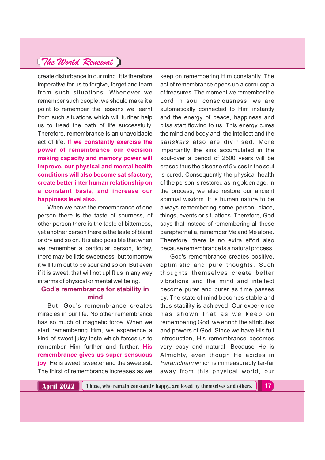create disturbance in our mind. It is therefore imperative for us to forgive, forget and learn from such situations. Whenever we remember such people, we should make it a point to remember the lessons we learnt from such situations which will further help us to tread the path of life successfully. Therefore, remembrance is an unavoidable act of life. **If we constantly exercise the power of remembrance our decision making capacity and memory power will improve, our physical and mental health conditions will also become satisfactory, create better inter human relationship on a constant basis, and increase our happiness level also.**

When we have the remembrance of one person there is the taste of sourness, of other person there is the taste of bitterness, yet another person there is the taste of bland or dry and so on. It is also possible that when we remember a particular person, today, there may be little sweetness, but tomorrow it will turn out to be sour and so on. But even if it is sweet, that will not uplift us in any way in terms of physical or mental wellbeing.

### **God's remembrance for stability in mind**

But, God's remembrance creates miracles in our life. No other remembrance has so much of magnetic force. When we start remembering Him, we experience a kind of sweet juicy taste which forces us to remember Him further and further. **His remembrance gives us super sensuous joy**. He is sweet, sweeter and the sweetest. The thirst of remembrance increases as we

keep on remembering Him constantly. The act of remembrance opens up a cornucopia of treasures. The moment we remember the Lord in soul consciousness, we are automatically connected to Him instantly and the energy of peace, happiness and bliss start flowing to us. This energy cures the mind and body and, the intellect and the *sanskars* also are divinised. More importantly the sins accumulated in the soul-over a period of 2500 years will be erased thus the disease of 5 vices in the soul is cured. Consequently the physical health of the person is restored as in golden age. In the process, we also restore our ancient spiritual wisdom. It is human nature to be always remembering some person, place, things, events or situations. Therefore, God says that instead of remembering all these paraphernalia, remember Me and Me alone. Therefore, there is no extra effort also because remembrance is a natural process.

God's remembrance creates positive, optimistic and pure thoughts. Such thoughts themselves create better vibrations and the mind and intellect become purer and purer as time passes by. The state of mind becomes stable and thus stability is achieved. Our experience has shown that as we keep on remembering God, we enrich the attributes and powers of God. Since we have His full introduction, His remembrance becomes very easy and natural. Because He is Almighty, even though He abides in *Paramdham* which is immeasurably far-far away from this physical world, our

**April 2022 Those, who remain constantly happy, are loved by themselves and others. 17**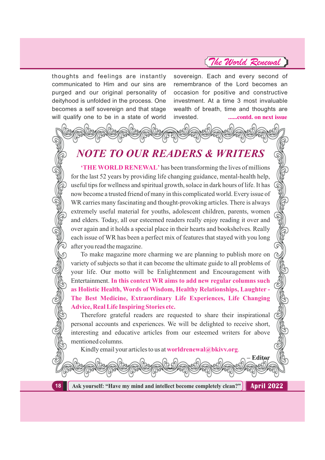thoughts and feelings are instantly communicated to Him and our sins are purged and our original personality of deityhood is unfolded in the process. One becomes a self sovereign and that stage will qualify one to be in a state of world

sovereign. Each and every second of remembrance of the Lord becomes an occasion for positive and constructive investment. At a time 3 most invaluable wealth of breath, time and thoughts are invested. **......contd. on next issue**

# *NOTE TO OUR READERS & WRITERS*

**'THE WORLD RENEWAL'** has been transforming the lives of millions for the last 52 years by providing life changing guidance, mental-health help, useful tips for wellness and spiritual growth, solace in dark hours of life. It has now become a trusted friend of many in this complicated world. Every issue of WR carries many fascinating and thought-provoking articles. There is always extremely useful material for youths, adolescent children, parents, women and elders. Today, all our esteemed readers really enjoy reading it over and over again and it holds a special place in their hearts and bookshelves. Really each issue of WR has been a perfect mix of features that stayed with you long after you read the magazine.

To make magazine more charming we are planning to publish more on variety of subjects so that it can become the ultimate guide to all problems of your life. Our motto will be Enlightenment and Encouragement with Entertainment. **In this context WR aims to add new regular columns such as Holistic Health, Words of Wisdom, Healthy Relationships, Laughter - The Best Medicine, Extraordinary Life Experiences, Life Changing Advice, Real Life Inspiring Stories etc.**

Therefore grateful readers are requested to share their inspirational personal accounts and experiences. We will be delighted to receive short, interesting and educative articles from our esteemed writers for above mentioned columns.

Kindly email your articles to us at **worldrenewal@bkivv.org**.



**RUBBURGU** 

**18 Ask yourself: "Have my mind and intellect become completely clean?"**

**April 2022**

**– Editor**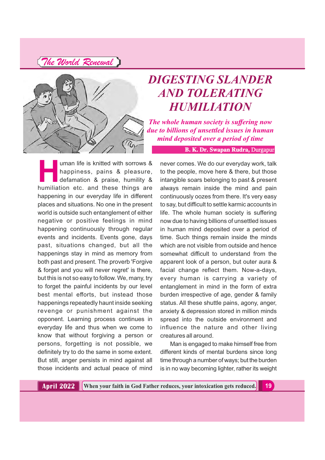

# *DIGESTING SLANDER AND TOLERATING HUMILIATION*

*The whole human society is suffering now due to billions of unsettled issues in human mind deposited over a period of time*

**B. K. Dr. Swapan Rudra,** Durgapur

uman life is knitted with sorrows &<br>happiness, pains & pleasure,<br>defamation & praise, humility &<br>humiliation etc. and these things are happiness, pains & pleasure, defamation & praise, humility & humiliation etc. and these things are happening in our everyday life in different places and situations. No one in the present world is outside such entanglement of either negative or positive feelings in mind happening continuously through regular events and incidents. Events gone, days past, situations changed, but all the happenings stay in mind as memory from both past and present. The proverb 'Forgive & forget and you will never regret' is there, but this is not so easy to follow. We, many, try to forget the painful incidents by our level best mental efforts, but instead those happenings repeatedly haunt inside seeking revenge or punishment against the opponent. Learning process continues in everyday life and thus when we come to know that without forgiving a person or persons, forgetting is not possible, we definitely try to do the same in some extent. But still, anger persists in mind against all those incidents and actual peace of mind

never comes. We do our everyday work, talk to the people, move here & there, but those intangible soars belonging to past & present always remain inside the mind and pain continuously oozes from there. It's very easy to say, but difficult to settle karmic accounts in life. The whole human society is suffering now due to having billions of unsettled issues in human mind deposited over a period of time. Such things remain inside the minds which are not visible from outside and hence somewhat difficult to understand from the apparent look of a person, but outer aura & facial change reflect them. Now-a-days, every human is carrying a variety of entanglement in mind in the form of extra burden irrespective of age, gender & family status. All these shuttle pains, agony, anger, anxiety & depression stored in million minds spread into the outside environment and influence the nature and other living creatures all around.

Man is engaged to make himself free from different kinds of mental burdens since long time through a number of ways; but the burden is in no way becoming lighter, rather its weight

**April 2022 When your faith in God Father reduces, your intoxication gets reduced. 19**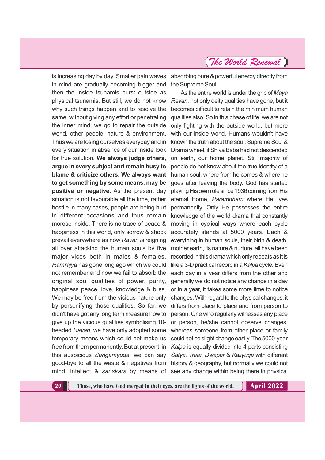is increasing day by day. Smaller pain waves in mind are gradually becoming bigger and then the inside tsunamis burst outside as why such things happen and to resolve the same, without giving any effort or penetrating the inner mind, we go to repair the outside world, other people, nature & environment. Thus we are losing ourselves everyday and in every situation in absence of our inside look for true solution. **We always judge others, argue in every subject and remain busy to blame & criticize others. We always want to get something by some means, may be positive or negative.** As the present day situation is not favourable all the time, rather hostile in many cases, people are being hurt in different occasions and thus remain morose inside. There is no trace of peace & happiness in this world, only sorrow & shock prevail everywhere as now Ravan is reigning all over attacking the human souls by five major vices both in males & females. *Ramrajya* has gone long ago which we could not remember and now we fail to absorb the original soul qualities of power, purity, happiness peace, love, knowledge & bliss. We may be free from the vicious nature only by personifying those qualities. So far, we didn't have got any long term measure how to give up the vicious qualities symbolising 10 headed Ravan, we have only adopted some temporary means which could not make us free from them permanently. But at present, in this auspicious Sangamyuga, we can say

absorbing pure & powerful energy directly from the Supreme Soul.

physical tsunamis. But still, we do not know *Ravan*, not only deity qualities have gone, but it good-bye to all the waste & negatives from history & geography, but normally we could not mind, intellect & sanskars by means of see any change within being there in physical As the entire world is under the grip of *Maya* becomes difficult to retain the minimum human qualities also. So in this phase of life, we are not only fighting with the outside world, but more with our inside world. Humans wouldn't have known the truth about the soul, Supreme Soul & Drama wheel, if Shiva Baba had not descended on earth, our home planet. Still majority of people do not know about the true identity of a human soul, where from he comes & where he goes after leaving the body. God has started playing His own role since 1936 coming from His eternal Home, Paramdham where He lives permanently. Only He possesses the entire knowledge of the world drama that constantly moving in cyclical ways where each cycle accurately stands at 5000 years. Each & everything in human souls, their birth & death, mother earth, its nature & nurture, all have been recorded in this drama which only repeats as it is like a 3-D practical record in a *Kalpa* cycle. Even each day in a year differs from the other and generally we do not notice any change in a day or in a year, it takes some more time to notice changes. With regard to the physical changes, it differs from place to place and from person to person. One who regularly witnesses any place or person, he/she cannot observe changes, whereas someone from other place or family could notice slight change easily. The 5000-year *Kalpa* is equally divided into 4 parts consisting Satya, Treta, Dwapar & Kaliyuga with different

**20 Those, who have God merged in their eyes, are the lights of the world.**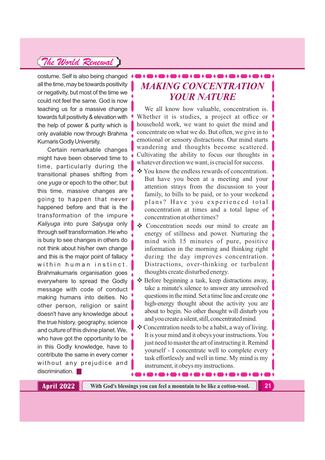costume. Self is also being changed all the time, may be towards positivity or negativity, but most of the time we could not feel the same. God is now teaching us for a massive change towards full positivity & elevation with the help of power & purity which is only available now through Brahma KumarisGodlyUniversity.

Certain remarkable changes might have been observed time to time, particularly during the transitional phases shifting from one *yuga* or epoch to the other; but this time, massive changes are going to happen that never happened before and that is the transformation of the impure *Kaliyuga* into pure Satyuga only through self transformation. He who is busy to see changes in others do not think about his/her own change and this is the major point of fallacy within human instinct. Brahmakumaris organisation goes everywhere to spread the Godly message with code of conduct making humans into deities. No other person, religion or saint doesn't have any knowledge about the true history, geography, science and culture of this divine planet. We, who have got the opportunity to be in this Godly knowledge, have to contribute the same in every corner without any prejudice and discrimination.

# *MAKING CONCENTRATION YOUR NATURE*

We all know how valuable, concentration is. Whether it is studies, a project at office or household work, we want to quiet the mind and concentrate on what we do. But often, we give in to emotional or sensory distractions. Our mind starts wandering and thoughts become scattered. Cultivating the ability to focus our thoughts in whatever direction we want, is crucial for success.

- **❖** You know the endless rewards of concentration. But have you been at a meeting and your attention strays from the discussion to your family, to bills to be paid, or to your weekend plans? Have you experienced total concentration at times and a total lapse of concentration at other times?
- Concentration needs our mind to create an energy of stillness and power. Nurturing the mind with 15 minutes of pure, positive information in the morning and thinking right during the day improves concentration. Distractions, over-thinking or turbulent thoughts create disturbed energy.
- $\triangle$  Before beginning a task, keep distractions away, take a minute's silence to answer any unresolved questions in the mind. Set a time line and create one high-energy thought about the activity you are about to begin. No other thought will disturb you and you create a silent, still, concentrated mind.
- \* Concentration needs to be a habit, a way of living. It is your mind and it obeys your instructions.You just need to master the art of instructing it. Remind yourself - I concentrate well to complete every task effortlessly and well in time. My mind is my instrument, it obeys my instructions.

**April 2022 With God's blessings you can feel a mountain to be like a cotton-wool. 21**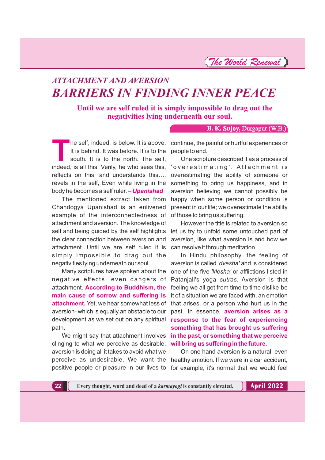*The World Renewal*

# *ATTACHMENT AND AVERSION BARRIERS IN FINDING INNER PEACE*

**Until we are self ruled it is simply impossible to drag out the negativities lying underneath our soul.**

**B. K. Sujoy,** Durgapur (W.B.)

The self, indeed, is below. It is above. continue, the painful or hurtful experiences or<br>
It is behind. It was before. It is to the people to end.<br>
south. It is to the north. The self, One scripture described it as a proce It is behind. It was before. It is to the people to end. south. It is to the north. The self, indeed, is all this. Verily, he who sees this, reflects on this, and understands this…. revels in the self, Even while living in the body he becomes a self ruler. – *Upanishad*

The mentioned extract taken from Chandogya Upanishad is an enlivened example of the interconnectedness of attachment and aversion. The knowledge of the clear connection between aversion and attachment. Until we are self ruled it is simply impossible to drag out the negativities lying underneath our soul.

Many scriptures have spoken about the path.

clinging to what we perceive as desirable; **will bring us suffering in the future.** aversion is doing all it takes to avoid what we

One scripture described it as a process of 'overestimating'. Attachment is overestimating the ability of someone or something to bring us happiness, and in aversion believing we cannot possibly be happy when some person or condition is present in our life; we overestimate the ability of those to bring us suffering.

self and being guided by the self highlights let us try to unfold some untouched part of However the title is related to aversion so aversion, like what aversion is and how we can resolve it through meditation.

negative effects, even dangers of Patanjali's yoga s*utras*. Aversion is that attachment. **According to Buddhism, the** feeling we all get from time to time dislike-be **main cause of sorrow and suffering is** it of a situation we are faced with, an emotion attachment. Yet, we hear somewhat less of that arises, or a person who hurt us in the aversion- which is equally an obstacle to our past. In essence, **aversion arises as a** development as we set out on any spiritual **response to the fear of experiencing** We might say that attachment involves **in the past, or something that we perceive** In Hindu philosophy, the feeling of aversion is called 'dvesha' and is considered one of the five *'klesha'* or afflictions listed in **something that has brought us suffering**

perceive as undesirable. We want the healthy emotion. If we were in a car accident, positive people or pleasure in our lives to for example, it's normal that we would feel On one hand aversion is a natural, even

**22 Every thought, word and deed of a** *karmayogi* **is constantly elevated.**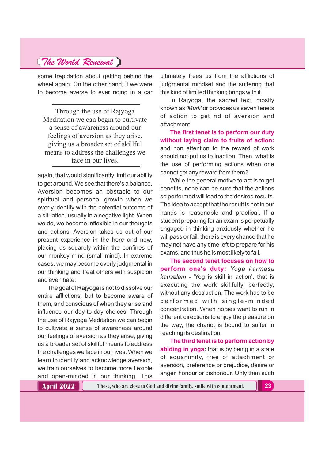some trepidation about getting behind the wheel again. On the other hand, if we were to become averse to ever riding in a car

Through the use of Rajyoga Meditation we can begin to cultivate a sense of awareness around our feelings of aversion as they arise, giving us a broader set of skillful means to address the challenges we face in our lives.

again, that would significantly limit our ability to get around. We see that there's a balance. Aversion becomes an obstacle to our spiritual and personal growth when we overly identify with the potential outcome of a situation, usually in a negative light. When we do, we become inflexible in our thoughts and actions. Aversion takes us out of our present experience in the here and now, placing us squarely within the confines of our monkey mind (small mind). In extreme cases, we may become overly judgmental in our thinking and treat others with suspicion and even hate.

The goal of Rajyoga is not to dissolve our entire afflictions, but to become aware of them, and conscious of when they arise and influence our day-to-day choices. Through the use of Rajyoga Meditation we can begin to cultivate a sense of awareness around our feelings of aversion as they arise, giving us a broader set of skillful means to address the challenges we face in our lives. When we learn to identify and acknowledge aversion, we train ourselves to become more flexible and open-minded in our thinking. This

ultimately frees us from the afflictions of judgmental mindset and the suffering that this kind of limited thinking brings with it.

In Rajyoga, the sacred text, mostly known as *'Murli'* or provides us seven tenets of action to get rid of aversion and attachment.

**The first tenet is to perform our duty without laying claim to fruits of action:** and non attention to the reward of work should not put us to inaction. Then, what is the use of performing actions when one cannot get any reward from them?

While the general motive to act is to get benefits, none can be sure that the actions so performed will lead to the desired results. The idea to accept that the result is not in our hands is reasonable and practical. If a student preparing for an exam is perpetually engaged in thinking anxiously whether he will pass or fail, there is every chance that he may not have any time left to prepare for his exams, and thus he is most likely to fail.

**The second tenet focuses on how to perform one's duty:** *Yoga karmasu kausalam* - 'Yog is skill in action', that is executing the work skillfully, perfectly, without any destruction. The work has to be performed with single-minded concentration. When horses want to run in different directions to enjoy the pleasure on the way, the chariot is bound to suffer in reaching its destination.

**The third tenet is to perform action by abiding in yoga:** that is by being in a state of equanimity, free of attachment or aversion, preference or prejudice, desire or anger, honour or dishonour. Only then such

**April 2022**

**Those, who are close to God and divine family, smile with contentment. 23**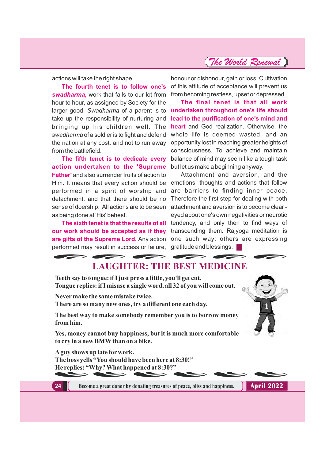actions will take the right shape.

swadharma, work that falls to our lot from from becoming restless, upset or depressed. hour to hour, as assigned by Society for the take up the responsibility of nurturing and bringing up his children well. The *swadharma* of a soldier is to fight and defend from the battlefield.

**The fifth tenet is to dedicate every action undertaken to the 'Supreme** but let us make a beginning anyway. **Father'** and also surrender fruits of action to as being done at 'His' behest.

performed may result in success or failure, gratitude and blessings.

**The fourth tenet is to follow one's** of this attitude of acceptance will prevent us honour or dishonour, gain or loss. Cultivation

larger good. Swadharma of a parent is to **undertaken throughout one's life should** the nation at any cost, and not to run away opportunity lost in reaching greater heights of **The final tenet is that all work lead to the purification of one's mind and heart** and God realization. Otherwise, the whole life is deemed wasted, and an consciousness. To achieve and maintain balance of mind may seem like a tough task

Him. It means that every action should be emotions, thoughts and actions that follow performed in a spirit of worship and are barriers to finding inner peace. detachment, and that there should be no Therefore the first step for dealing with both sense of doership. All actions are to be seen attachment and aversion is to become clear - The sixth tenet is that the results of all tendency, and only then to find ways of **our work should be accepted as if they** transcending them. Rajyoga meditation is are gifts of the Supreme Lord. Any action one such way; others are expressing Attachment and aversion, and the eyed about one's own negativities or neurotic

## **LAUGHTER: THE BEST MEDICINE**

**Teeth say to tongue: if I just press a little, you'll get cut. Tongue replies: if I misuse a single word, all 32 of you will come out.**

**Never make the same mistake twice.**

**There are so many new ones, try a different one each day.**

**The best way to make somebody remember you is to borrow money from him.**

**Yes, money cannot buy happiness, but it is much more comfortable to cry in a new BMW than on a bike.**

**Aguy shows up late for work. The boss yells "You should have been here at 8:30!" He replies: "Why? What happened at 8:30?"**



**24 Become a great donor by donating treasures of peace, bliss and happiness. <b>April 2022**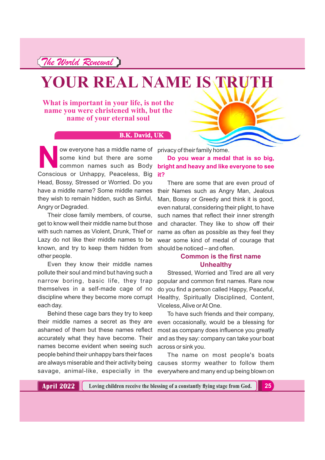# **YOUR REAL NAME IS TRUTH**

**What is important in your life, is not the name you were christened with, but the name of your eternal soul**

### **B.K. David, UK**

Now everyone has a middle name of<br>some kind but there are some<br>common names such as Body<br>Conscious or Unhappy Peaceless Big some kind but there are some Conscious or Unhappy, Peaceless, Big **it?** Head, Bossy, Stressed or Worried. Do you have a middle name? Some middle names they wish to remain hidden, such as Sinful, Angry or Degraded. ow everyone has a middle name of privacy of their family home.

Their close family members, of course, get to know well their middle name but those with such names as Violent, Drunk, Thief or Lazy do not like their middle names to be known, and try to keep them hidden from other people.

Even they know their middle names pollute their soul and mind but having such a narrow boring, basic life, they trap themselves in a self-made cage of no discipline where they become more corrupt each day.

Behind these cage bars they try to keep their middle names a secret as they are ashamed of them but these names reflect accurately what they have become. Their names become evident when seeing such people behind their unhappy bars their faces are always miserable and their activity being savage, animal-like, especially in the

common names such as Body **bright and heavy and like everyone to see Do you wear a medal that is so big,**

> There are some that are even proud of their Names such as Angry Man, Jealous Man, Bossy or Greedy and think it is good, even natural, considering their plight, to have such names that reflect their inner strength and character. They like to show off their name as often as possible as they feel they wear some kind of medal of courage that should be noticed – and often.

### **Common is the first name Unhealthy**

Stressed, Worried and Tired are all very popular and common first names. Rare now do you find a person called Happy, Peaceful, Healthy, Spiritually Disciplined, Content, Viceless, Alive or At One.

To have such friends and their company, even occasionally, would be a blessing for most as company does influence you greatly and as they say: company can take your boat across or sink you.

The name on most people's boats causes stormy weather to follow them everywhere and many end up being blown on

**Loving children receive the blessing of a constantly flying stage from God. 25**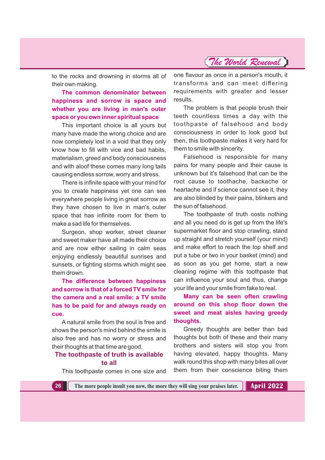to the rocks and drowning in storms all of their own making.

### **The common denominator between happiness and sorrow is space and whether you are living in man's outer space or you own inner spiritual space**

This important choice is all yours but many have made the wrong choice and are now completely lost in a void that they only know how to fill with vice and bad habits, materialism, greed and body consciousness and with aloof these comes many long tails causing endless sorrow, worry and stress.

There is infinite space with your mind for you to create happiness yet one can see everywhere people living in great sorrow as they have chosen to live in man's outer space that has infinite room for them to make a sad life for themselves.

Surgeon, shop worker, street cleaner and sweet maker have all made their choice and are now either sailing in calm seas enjoying endlessly beautiful sunrises and sunsets, or fighting storms which might see them drown.

**The difference between happiness and sorrow is that of a forced TV smile for the camera and a real smile: a TV smile has to be paid for and always ready on cue.**

A natural smile from the soul is free and shows the person's mind behind the smile is also free and has no worry or stress and their thoughts at that time are good.

### **The toothpaste of truth is available to all**

This toothpaste comes in one size and

one flavour as once in a person's mouth, it transforms and can meet differing requirements with greater and lesser results.

The problem is that people brush their teeth countless times a day with the toothpaste of falsehood and body consciousness in order to look good but then, this toothpaste makes it very hard for them to smile with sincerity.

Falsehood is responsible for many pains for many people and their cause is unknown but it's falsehood that can be the root cause to toothache, backache or heartache and if science cannot see it, they are also blinded by their pains, blinkers and the sun of falsehood.

The toothpaste of truth costs nothing and all you need do is get up from the life's supermarket floor and stop crawling, stand up straight and stretch yourself (your mind) and make effort to reach the top shelf and put a tube or two in your basket (mind) and as soon as you get home, start a new cleaning regime with this toothpaste that can influence your soul and thus, change your life and your smile from fake to real.

### **Many can be seen often crawling around on this shop floor down the sweet and meat aisles having greedy thoughts.**

Greedy thoughts are better than bad thoughts but both of these and their many brothers and sisters will stop you from having elevated, happy thoughts. Many walk round this shop with many bites all over them from their conscience biting them

**26 The more people insult you now, the more they will sing your praises later. <b>April 2022**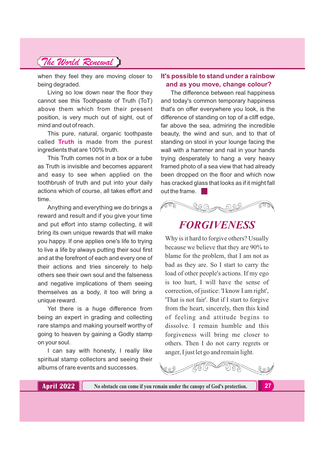when they feel they are moving closer to being degraded.

Living so low down near the floor they cannot see this Toothpaste of Truth (ToT) above them which from their present position, is very much out of sight, out of mind and out of reach.

This pure, natural, organic toothpaste called **Truth** is made from the purest ingredients that are 100% truth.

This Truth comes not in a box or a tube as Truth is invisible and becomes apparent and easy to see when applied on the toothbrush of truth and put into your daily actions which of course, all takes effort and time.

Anything and everything we do brings a reward and result and if you give your time and put effort into stamp collecting, it will bring its own unique rewards that will make you happy. If one applies one's life to trying to live a life by always putting their soul first and at the forefront of each and every one of their actions and tries sincerely to help others see their own soul and the falseness and negative implications of them seeing themselves as a body, it too will bring a unique reward.

Yet there is a huge difference from being an expert in grading and collecting rare stamps and making yourself worthy of going to heaven by gaining a Godly stamp on your soul.

I can say with honesty, I really like spiritual stamp collectors and seeing their albums of rare events and successes.

### **It's possible to stand under a rainbow and as you move, change colour?**

The difference between real happiness and today's common temporary happiness that's on offer everywhere you look, is the difference of standing on top of a cliff edge, far above the sea, admiring the incredible beauty, the wind and sun, and to that of standing on stool in your lounge facing the wall with a hammer and nail in your hands trying desperately to hang a very heavy framed photo of a sea view that had already been dropped on the floor and which now has cracked glass that looks as if it might fall out the frame.



# *FORGIVENESS*

Why is it hard to forgive others? Usually because we believe that they are 90% to blame for the problem, that I am not as bad as they are. So I start to carry the load of other people's actions. If my ego is too hurt, I will have the sense of correction, of justice: 'I know I am right', 'That is not fair'. But if I start to forgive from the heart, sincerely, then this kind of feeling and attitude begins to dissolve. I remain humble and this forgiveness will bring me closer to others. Then I do not carry regrets or anger, I just let go and remain light.



**27**

**April 2022 No obstacle can come if you remain under the canopy of God's protection.**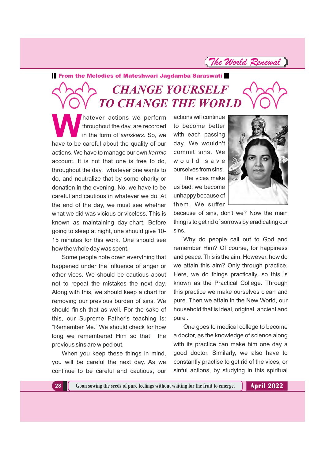*The World Renewal*

**From the Melodies of Mateshwari Jagdamba Saraswati** 

# *CHANGE YOURSELF TO CHANGE THE WORLD*

hatever actions we perform<br>throughout the day, are recorded<br>in the form of sanskars. So, we<br>have to be careful about the quality of our throughout the day, are recorded in the form of sanskars. So, we have to be careful about the quality of our actions. We have to manage our own *karmic* account. It is not that one is free to do, throughout the day, whatever one wants to do, and neutralize that by some charity or donation in the evening. No, we have to be careful and cautious in whatever we do. At the end of the day, we must see whether what we did was vicious or viceless. This is known as maintaining day-chart. Before going to sleep at night, one should give 10- 15 minutes for this work. One should see how the whole day was spent.

Some people note down everything that happened under the influence of anger or other vices. We should be cautious about not to repeat the mistakes the next day. Along with this, we should keep a chart for removing our previous burden of sins. We should finish that as well. For the sake of this, our Supreme Father's teaching is: "Remember Me." We should check for how long we remembered Him so that the previous sins are wiped out.

When you keep these things in mind, you will be careful the next day. As we continue to be careful and cautious, our actions will continue to become better with each passing day. We wouldn't commit sins. We would save ourselvesfromsins.

The vices make us bad; we become unhappy because of them. We suffer



because of sins, don't we? Now the main thing is to get rid of sorrows by eradicating our sins.

Why do people call out to God and remember Him? Of course, for happiness and peace. This is the aim. However, how do we attain this aim? Only through practice. Here, we do things practically, so this is known as the Practical College. Through this practice we make ourselves clean and pure. Then we attain in the New World, our household that is ideal, original, ancient and pure .

One goes to medical college to become a doctor, as the knowledge of science along with its practice can make him one day a good doctor. Similarly, we also have to constantly practise to get rid of the vices, or sinful actions, by studying in this spiritual

**28 Goon sowing the seeds of pure feelings without waiting for the fruit to emerge. <b>April 2022**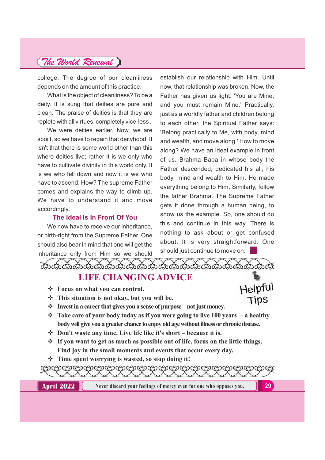college. The degree of our cleanliness depends on the amount of this practice.

What is the object of cleanliness? To be a deity. It is sung that deities are pure and clean. The praise of deities is that they are replete with all virtues, completely vice-less .

We were deities earlier. Now, we are spoilt, so we have to regain that deityhood. It isn't that there is some world other than this where deities live; rather it is we only who have to cultivate divinity in this world only. It is we who fell down and now it is we who have to ascend. How? The supreme Father comes and explains the way to climb up. We have to understand it and move accordingly.

### **The Ideal Is In Front Of You**

We now have to receive our inheritance. or birth-right from the Supreme Father. One should also bear in mind that one will get the inheritance only from Him so we should

establish our relationship with Him. Until now, that relationship was broken. Now, the Father has given us light: 'You are Mine, and you must remain Mine.' Practically, just as a worldly father and children belong to each other, the Spiritual Father says: 'Belong practically to Me, with body, mind and wealth, and move along.' How to move along? We have an ideal example in front of us. Brahma Baba in whose body the Father descended, dedicated his all, his body, mind and wealth to Him. He made everything belong to Him. Similarly, follow the father Brahma. The Supreme Father gets it done through a human being, to show us the example. So, one should do this and continue in this way. There is nothing to ask about or get confused about. It is very straightforward. One should just continue to move on.

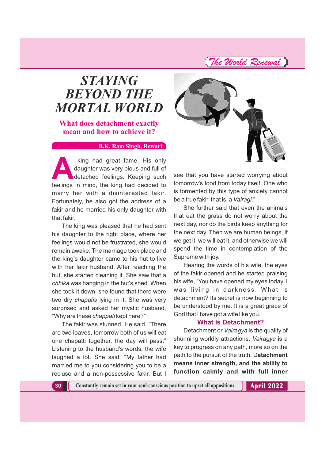*The World Renewal*

# *STAYING BEYOND THE MORTAL WORLD*

**What does detachment exactly mean and how to achieve it?**

#### **B.K. Ram Singh, Rewari**

king had great fame. His only<br>daughter was very pious and full of<br>detached feelings. Keeping such<br>feelings in mind, the king had decided to daughter was very pious and full of detached feelings. Keeping such feelings in mind, the king had decided to marry her with a disinterested fakir. Fortunately, he also got the address of a fakir and he married his only daughter with that fakir.

The king was pleased that he had sent his daughter to the right place, where her feelings would not be frustrated, she would remain awake. The marriage took place and the king's daughter came to his hut to live with her fakir husband. After reaching the hut, she started cleaning it. She saw that a *chhika* was hanging in the hut's shed. When she took it down, she found that there were two dry *chapatis* lying in it. She was very surprised and asked her mystic husband, "Why are these *chappati* kept here?"

The fakir was stunned. He said, "There are two loaves, tomorrow both of us will eat one chapatti together, the day will pass." Listening to the husband's words, the wife laughed a lot. She said, "My father had married me to you considering you to be a recluse and a non-possessive fakir. But I



see that you have started worrying about tomorrow's food from today itself. One who is tormented by this type of anxiety cannot be a true fakir, that is, a Vairagi."

She further said that even the animals that eat the grass do not worry about the next day, nor do the birds keep anything for the next day. Then we are human beings, if we get it, we will eat it, and otherwise we will spend the time in contemplation of the Supreme with joy.

Hearing the words of his wife, the eyes of the fakir opened and he started praising his wife, "You have opened my eyes today, I was living in darkness. What is detachment? Its secret is now beginning to be understood by me. It is a great grace of God that I have got a wife like you."

#### **What Is Detachment?**

Detachment or *Vairagya* is the quality of shunning worldly attractions. Vairagya is a key to progress on any path, more so on the path to the pursuit of the truth. D**etachment means inner strength, and the ability to function calmly and with full inner**

**30 Constantly remain set in your soul-conscious position to upset all oppositions.**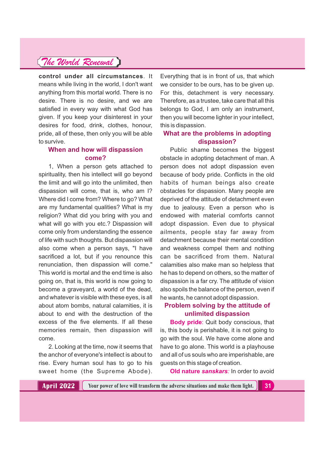**control under all circumstances**. It means while living in the world, I don't want anything from this mortal world. There is no desire. There is no desire, and we are satisfied in every way with what God has given. If you keep your disinterest in your desires for food, drink, clothes, honour, pride, all of these, then only you will be able to survive.

### **When and how will dispassion come?**

1, When a person gets attached to spirituality, then his intellect will go beyond the limit and will go into the unlimited, then dispassion will come, that is, who am I? Where did I come from? Where to go? What are my fundamental qualities? What is my religion? What did you bring with you and what will go with you etc.? Dispassion will come only from understanding the essence of life with such thoughts. But dispassion will also come when a person says, "I have sacrificed a lot, but if you renounce this renunciation, then dispassion will come." This world is mortal and the end time is also going on, that is, this world is now going to become a graveyard, a world of the dead, and whatever is visible with these eyes, is all about atom bombs, natural calamities, it is about to end with the destruction of the excess of the five elements. If all these memories remain, then dispassion will come.

2. Looking at the time, now it seems that the anchor of everyone's intellect is about to rise. Every human soul has to go to his sweet home (the Supreme Abode).

Everything that is in front of us, that which we consider to be ours, has to be given up. For this, detachment is very necessary. Therefore, as a trustee, take care that all this belongs to God, I am only an instrument, then you will become lighter in your intellect, this is dispassion.

### **What are the problems in adopting dispassion?**

Public shame becomes the biggest obstacle in adopting detachment of man. A person does not adopt dispassion even because of body pride. Conflicts in the old habits of human beings also create obstacles for dispassion. Many people are deprived of the attitude of detachment even due to jealousy. Even a person who is endowed with material comforts cannot adopt dispassion. Even due to physical ailments, people stay far away from detachment because their mental condition and weakness compel them and nothing can be sacrificed from them. Natural calamities also make man so helpless that he has to depend on others, so the matter of dispassion is a far cry. The attitude of vision also spoils the balance of the person, even if he wants, he cannot adopt dispassion.

### **Problem solving by the attitude of unlimited dispassion**

**Body pride**: Quit body conscious, that is, this body is perishable, it is not going to go with the soul. We have come alone and have to go alone. This world is a playhouse and all of us souls who are imperishable, are guests on this stage of creation.

**Old nature** *sanskars:* In order to avoid

**April 2022**

**Your power of love will transform the adverse situations and make them light. 31**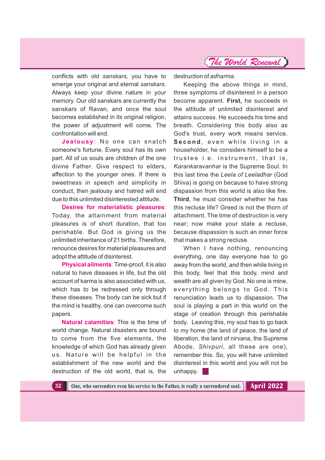*The World Renewal*

conflicts with old *sanskars,* you have to emerge your original and eternal sanskars. Always keep your divine nature in your memory. Our old sanskars are currently the sanskars of Ravan, and once the soul becomes established in its original religion, the power of adjustment will come. The confrontation will end.

**Jealousy**: No one can snatch someone's fortune. Every soul has its own part. All of us souls are children of the one divine Father. Give respect to elders, affection to the younger ones. If there is sweetness in speech and simplicity in conduct, then jealousy and hatred will end due to this unlimited disinterested attitude.

**Desires for materialistic pleasures**: Today, the attainment from material pleasures is of short duration, that too perishable. But God is giving us the unlimited inheritance of 21 births. Therefore, renounce desires for material pleasures and adopt the attitude of disinterest.

**Physical ailments**: Time-proof, it is also natural to have diseases in life, but the old account of karma is also associated with us, which has to be redressed only through these diseases. The body can be sick but if the mind is healthy, one can overcome such papers.

**Natural calamities**: This is the time of world change. Natural disasters are bound to come from the five elements, the knowledge of which God has already given us. Nature will be helpful in the establishment of the new world and the destruction of the old world, that is, the

destruction of *adharma.*

Keeping the above things in mind, three symptoms of disinterest in a person become apparent. First, he succeeds in the attitude of unlimited disinterest and attains success. He succeeds his time and breath. Considering this body also as God's trust, every work means service. **Second**, even while living in a householder, he considers himself to be a trustee i.e. instrument, that is, *Karankaravanhar* is the Supreme Soul. In this last time the *Leela of Leeladhar* (God Shiva) is going on because to have strong dispassion from this world is also like fire. **Third**, he must consider whether he has this recluse life? Greed is not the thorn of attachment. The time of destruction is very near; now make your state a recluse, because dispassion is such an inner force that makes a strong recluse.

When I have nothing, renouncing everything, one day everyone has to go away from the world, and then while living in this body, feel that this body, mind and wealth are all given by God. No one is mine, everything belongs to God. This renunciation leads us to dispassion. The soul is playing a part in this world on the stage of creation through this perishable body. Leaving this, my soul has to go back to my home (the land of peace, the land of liberation, the land of nirvana, the Supreme Abode, Shivpuri, all these are one), remember this. So, you will have unlimited disinterest in this world and you will not be unhappy.

**32 One, who surrenders even his service to the Father, is really a surrendered soul. April 2022**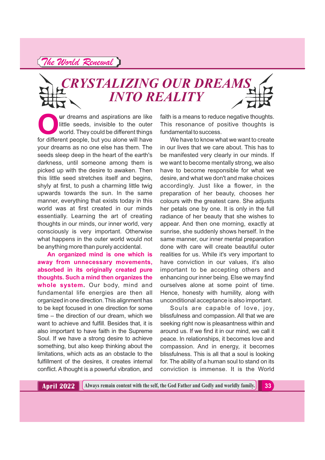# *CRYSTALIZING OUR DREAMS INTO REALITY*

**Our dreams and aspirations are like**<br>little seeds, invisible to the outer<br>world. They could be different things<br>for different people, but you alone will have little seeds, invisible to the outer world. They could be different things for different people, but you alone will have your dreams as no one else has them. The seeds sleep deep in the heart of the earth's darkness, until someone among them is picked up with the desire to awaken. Then this little seed stretches itself and begins, shyly at first, to push a charming little twig upwards towards the sun. In the same manner, everything that exists today in this world was at first created in our minds essentially. Learning the art of creating thoughts in our minds, our inner world, very consciously is very important. Otherwise what happens in the outer world would not be anything more than purely accidental.

**An organized mind is one which is away from unnecessary movements, absorbed in its originally created pure thoughts. Such a mind then organizes the whole system.** Our body, mind and fundamental life energies are then all organized in one direction.This alignment has to be kept focused in one direction for some time – the direction of our dream, which we want to achieve and fulfill. Besides that, it is also important to have faith in the Supreme Soul. If we have a strong desire to achieve something, but also keep thinking about the limitations, which acts as an obstacle to the fulfillment of the desires, it creates internal conflict. A thought is a powerful vibration, and

faith is a means to reduce negative thoughts. This resonance of positive thoughts is fundamental to success.

We have to know what we want to create in our lives that we care about. This has to be manifested very clearly in our minds. If we want to become mentally strong, we also have to become responsible for what we desire, and what we don't and make choices accordingly. Just like a flower, in the preparation of her beauty, chooses her colours with the greatest care. She adjusts her petals one by one. It is only in the full radiance of her beauty that she wishes to appear. And then one morning, exactly at sunrise, she suddenly shows herself. In the same manner, our inner mental preparation done with care will create beautiful outer realities for us. While it's very important to have conviction in our values, it's also important to be accepting others and enhancing our inner being. Else we may find ourselves alone at some point of time. Hence, honesty with humility, along with unconditional acceptance is also important.

Souls are capable of love, joy, blissfulness and compassion. All that we are seeking right now is pleasantness within and around us. If we find it in our mind, we call it peace. In relationships, it becomes love and compassion. And in energy, it becomes blissfulness. This is all that a soul is looking for. The ability of a human soul to stand on its conviction is immense. It is the World

**April 2022** Always remain content with the self, the God Father and Godly and worldly family.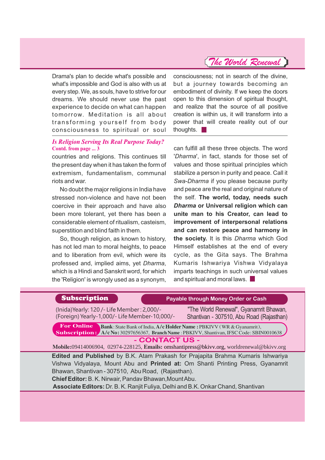Drama's plan to decide what's possible and what's impossible and God is also with us at every step. We, as souls, have to strive for our dreams. We should never use the past experience to decide on what can happen tomorrow. Meditation is all about transforming yourself from body consciousness to spiritual or soul

#### *Is Religion Serving Its Real Purpose Today?* **Contd. from page ... 3**

countries and religions. This continues till the present day when it has taken the form of extremism, fundamentalism, communal riots and war.

No doubt the major religions in India have stressed non-violence and have not been coercive in their approach and have also been more tolerant, yet there has been a considerable element of ritualism, casteism, superstition and blind faith in them.

So, though religion, as known to history, has not led man to moral heights, to peace and to liberation from evil, which were its professed and, *implied aims*, yet *Dharma*, which is a Hindi and Sanskrit word, for which the 'Religion' is wrongly used as a synonym, consciousness; not in search of the divine, but a journey towards becoming an embodiment of divinity. If we keep the doors open to this dimension of spiritual thought, and realize that the source of all positive creation is within us, it will transform into a power that will create reality out of our thoughts.

can fulfill all these three objects. The word 'Dharma', in fact, stands for those set of values and those spiritual principles which stabilize a person in purity and peace. Call it *Swa-Dharma* if you please because purity and peace are the real and original nature of the self. **The world, today, needs such** *Dharma* **or Universal religion which can unite man to his Creator, can lead to improvement of interpersonal relations and can restore peace and harmony in the society.** It is this *Dharma* which God Himself establishes at the end of every cycle, as the Gita says. The Brahma Kumaris Ishwariya Vishwa Vidyalaya imparts teachings in such universal values and spiritual and moral laws.

### **Subscription Cash Payable through Money Order or Cash**

(Inida)Yearly: 120 /- Life Member : 2,000/- (Foreign) Yearly-1,000/- Life Member-10,000/-

"The World Renewal", Gyanamrit Bhawan, Shantivan - 307510, Abu Road (Rajasthan)

**For Online** Bank: State Bank of India, A/c Holder Name: PBKIVV (WR & Gyanamrit), **A/c No:** 30297656367, Branch Name : PBKIVV, Shantivan, IFSC Code: SBIN0010638 : **Subscription:** A/c No: 30297656367, Branch Name : PBKIVV, Shantivan, IFSC Code: SBIN0010638

**- CONTACT US -**

Mobile:09414006904, 02974-228125, **Emails:** omshantipress@bkivv.org, worldrenewal@bkivv.org

**Edited and Published** by B.K. Atam Prakash for Prajapita Brahma Kumaris Ishwariya Vishwa Vidyalaya, Mount Abu and Printed at: Om Shanti Printing Press, Gyanamrit Bhawan, Shantivan - 307510, Abu Road, (Rajasthan).

**Chief Editor:**B. K. Nirwair, Pandav Bhawan,MountAbu.

**Associate Editors:** Dr. B. K. Ranjit Fuliya, Delhi and B.K. Onkar Chand, Shantivan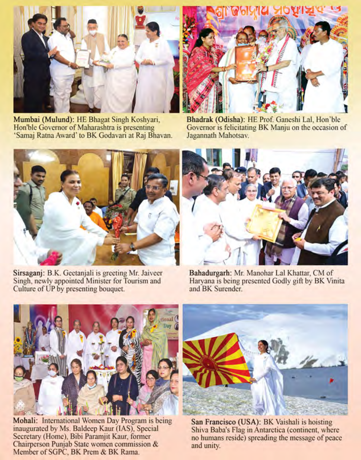

Mumbai (Mulund): HE Bhagat Singh Koshyari, Hon'ble Governor of Maharashtra is presenting 'Samaj Ratna Award' to BK Godavari at Raj Bhavan.



Bhadrak (Odisha): HE Prof. Ganeshi Lal, Hon'ble Governor is felicitating BK Manju on the occasion of Jagannath Mahotsav.



Sirsaganj: B.K. Geetanjali is greeting Mr. Jaiveer Singh, newly appointed Minister for Tourism and Culture of UP by presenting bouquet.



Bahadurgarh: Mr. Manohar Lal Khattar, CM of Haryana is being presented Godly gift by BK Vinita and BK Surender.



Mohali: International Women Day Program is being<br>inaugurated by Ms. Baldeep Kaur (IAS), Special Secretary (Home), Bibi Paramjit Kaur, former Chairperson Punjab State women commission & Member of SGPC, BK Prem & BK Rama.



San Francisco (USA): BK Vaishali is hoisting Shiva Baba's Flag in Antarctica (continent, where no humans reside) spreading the message of peace and unity.